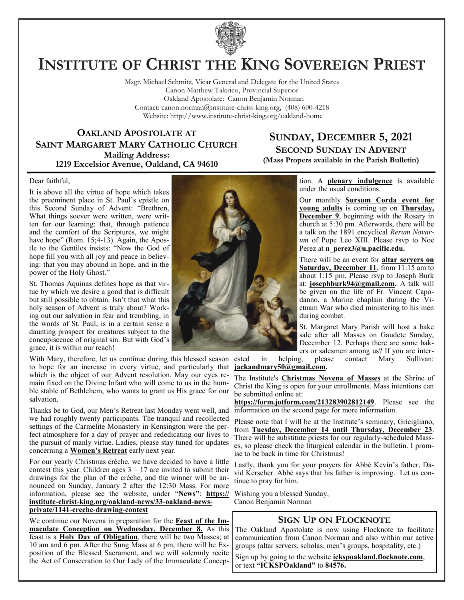

# **INSTITUTE OF CHRIST THE KING SOVEREIGN PRIEST**

Msgr. Michael Schmitz, Vicar General and Delegate for the United States Canon Matthew Talarico, Provincial Superior Oakland Apostolate: Canon Benjamin Norman Contact: canon.norman@institute-christ-king.org, (408) 600-4218 Website: http://www.institute-christ-king.org/oakland-home

**OAKLAND APOSTOLATE AT SAINT MARGARET MARY CATHOLIC CHURCH Mailing Address: 1219 Excelsior Avenue, Oakland, CA 94610**

### **SUNDAY, DECEMBER 5, 2021 SECOND SUNDAY IN ADVENT (Mass Propers available in the Parish Bulletin)**

Dear faithful,

It is above all the virtue of hope which takes the preeminent place in St. Paul's epistle on this Second Sunday of Advent: "Brethren, What things soever were written, were written for our learning: that, through patience and the comfort of the Scriptures, we might have hope" (Rom. 15;4-13). Again, the Apostle to the Gentiles insists: "Now the God of hope fill you with all joy and peace in believing: that you may abound in hope, and in the power of the Holy Ghost."

St. Thomas Aquinas defines hope as that virtue by which we desire a good that is difficult but still possible to obtain. Isn't that what this holy season of Advent is truly about? Working out our salvation in fear and trembling, in the words of St. Paul, is in a certain sense a daunting prospect for creatures subject to the concupiscence of original sin. But with God's grace, it is within our reach!

With Mary, therefore, let us continue during this blessed season ested to hope for an increase in every virtue, and particularly that which is the object of our Advent resolution. May our eyes remain fixed on the Divine Infant who will come to us in the humble stable of Bethlehem, who wants to grant us His grace for our salvation.

Thanks be to God, our Men's Retreat last Monday went well, and we had roughly twenty participants. The tranquil and recollected settings of the Carmelite Monastery in Kensington were the perfect atmosphere for a day of prayer and rededicating our lives to the pursuit of manly virtue. Ladies, please stay tuned for updates concerning a **Women's Retreat** early next year.

For our yearly Christmas crèche, we have decided to have a little contest this year. Children ages  $3 - 17$  are invited to submit their drawings for the plan of the crèche, and the winner will be announced on Sunday, January 2 after the 12:30 Mass. For more information, please see the website, under "**News"**: **[https://](https://institute-christ-king.org/oakland-news/33-oakland-news-private/1141-creche-drawing-contest) [institute-christ-king.org/oakland-news/33-oakland-news](https://institute-christ-king.org/oakland-news/33-oakland-news-private/1141-creche-drawing-contest)[private/1141-creche-drawing-contest](https://institute-christ-king.org/oakland-news/33-oakland-news-private/1141-creche-drawing-contest)**

We continue our Novena in preparation for the **Feast of the Immaculate Conception on Wednesday, December 8.** As this feast is a **Holy Day of Obligation**, there will be two Masses; at 10 am and 6 pm. After the Sung Mass at 6 pm, there will be Exposition of the Blessed Sacrament, and we will solemnly recite the Act of Consecration to Our Lady of the Immaculate Concep-



tion. A **plenary indulgence** is available under the usual conditions.

Our monthly **Sursum Corda event for young adults** is coming up on **Thursday, December 9**, beginning with the Rosary in church at 5:30 pm. Afterwards, there will be a talk on the 1891 encyclical *Rerum Novarum* of Pope Leo XIII. Please rsvp to Noe Perez at **[n\\_perez3@u.pacific.edu.](mailto:n_perez3@u.pacific.edu)** 

There will be an event for **altar servers on Saturday, December 11**, from 11:15 am to about 1:15 pm. Please rsvp to Joseph Burk at: **[josephburk94@gmail.com.](mailto:josephburk94@gmail.com)** A talk will be given on the life of Fr. Vincent Capodanno, a Marine chaplain during the Vietnam War who died ministering to his men during combat.

St. Margaret Mary Parish will host a bake sale after all Masses on Gaudete Sunday, December 12. Perhaps there are some bakers or salesmen among us? If you are inter-

in helping, please contact Mary Sullivan: **[jackandmary50@gmail.com.](mailto:jackandmary50@gmail.com)**

The Institute's **Christmas Novena of Masses** at the Shrine of Christ the King is open for your enrollments. Mass intentions can be submitted online at:

**<https://form.jotform.com/213283902812149>**. Please see the information on the second page for more information.

Please note that I will be at the Institute's seminary, Gricigliano, from **Tuesday, December 14 until Thursday, December 23**. There will be substitute priests for our regularly-scheduled Masses, so please check the liturgical calendar in the bulletin. I promise to be back in time for Christmas!

Lastly, thank you for your prayers for Abbé Kevin's father, David Kerscher. Abbé says that his father is improving. Let us continue to pray for him.

Wishing you a blessed Sunday, Canon Benjamin Norman

### **SIGN UP ON FLOCKNOTE**

The Oakland Apostolate is now using Flocknote to facilitate communication from Canon Norman and also within our active groups (altar servers, scholas, men's groups, hospitality, etc.)

Sign up by going to the website **ickspoakland.flocknote.com**, or text **"ICKSPOakland"** to **84576.**